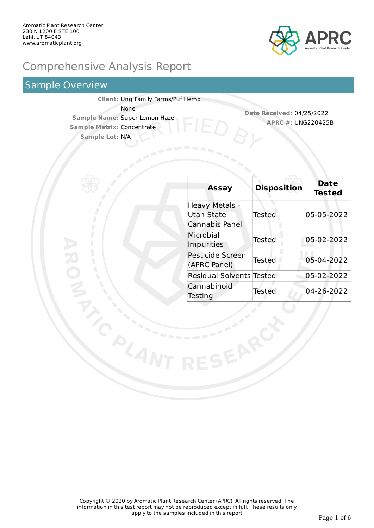

# Comprehensive Analysis Report

## Sample Overview

**Client:** Ung Family Farms/Puf Hemp None **Sample Name:** Super Lemon Haze **Sample Matrix:** Concentrate **Sample Lot:** N/A

**Date Received:** 04/25/2022 **APRC #:** UNG220425B

| <b>Assay</b>                                   | <b>Disposition</b> | <b>Date</b><br><b>Tested</b> |
|------------------------------------------------|--------------------|------------------------------|
| Heavy Metals -<br>Utah State<br>Cannabis Panel | Tested             | 05-05-2022                   |
| Microbial<br><b>Impurities</b>                 | Tested             | 05-02-2022                   |
| <b>Pesticide Screen</b><br>(APRC Panel)        | Tested             | 05-04-2022                   |
| <b>Residual Solvents Tested</b>                |                    | 05-02-2022                   |
| Cannabinoid<br>Testing                         | Tested             | 04-26-2022                   |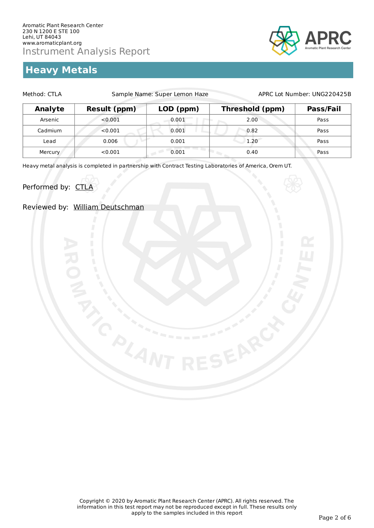# **Heavy Metals**



| Method: CTLA | Sample Name: Super Lemon Haze |           | APRC Lot Number: UNG220425B |           |
|--------------|-------------------------------|-----------|-----------------------------|-----------|
| Analyte      | <b>Result (ppm)</b>           | LOD (ppm) | Threshold (ppm)             | Pass/Fail |
| Arsenic      | < 0.001                       | 0.001     | 2.00                        | Pass      |
| Cadmium      | < 0.001                       | 0.001     | 0.82                        | Pass      |
| Lead         | 0.006                         | 0.001     | 1.20                        | Pass      |
| Mercury      | < 0.001                       | 0.001     | 0.40                        | Pass      |

Heavy metal analysis is completed in partnership with Contract Testing Laboratories of America, Orem UT.

Performed by: CTLA

Reviewed by: William Deutschman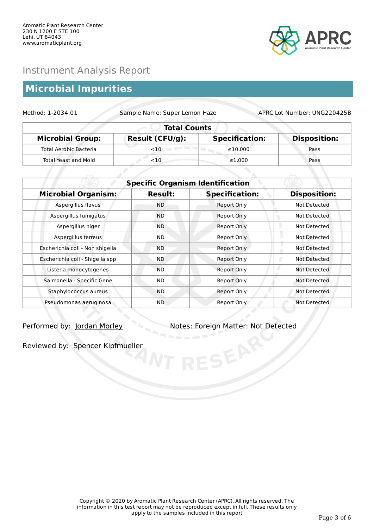

## **Microbial Impurities**

| Method: 1-2034.01             | Sample Name: Super Lemon Haze<br>APRC Lot Number: UNG220425B |                       |                     |  |
|-------------------------------|--------------------------------------------------------------|-----------------------|---------------------|--|
| <b>Total Counts</b>           |                                                              |                       |                     |  |
| <b>Microbial Group:</b>       | <b>Result (CFU/g):</b>                                       | <b>Specification:</b> | <b>Disposition:</b> |  |
| <b>Total Aerobic Bacteria</b> | $<$ 10                                                       | $\leq 10.000$         | Pass                |  |
| Total Yeast and Mold          | $<$ 10                                                       | $\leq 1.000$          | Pass                |  |

|                                 | <b>Specific Organism Identification</b> |                       |                     |  |
|---------------------------------|-----------------------------------------|-----------------------|---------------------|--|
| <b>Microbial Organism:</b>      | <b>Result:</b>                          | <b>Specification:</b> | <b>Disposition:</b> |  |
| Aspergillus flavus              | ND.                                     | <b>Report Only</b>    | Not Detected        |  |
| Aspergillus fumigatus           | <b>ND</b>                               | Report Only           | Not Detected        |  |
| Aspergillus niger               | <b>ND</b>                               | <b>Report Only</b>    | Not Detected        |  |
| Aspergillus terreus             | ND.                                     | Report Only           | Not Detected        |  |
| Escherichia coli - Non shigella | <b>ND</b>                               | Report Only           | Not Detected        |  |
| Escherichia coli - Shigella spp | <b>ND</b>                               | Report Only           | Not Detected        |  |
| Listeria monocytogenes          | <b>ND</b>                               | Report Only           | Not Detected        |  |
| Salmonella - Specific Gene      | ND.                                     | Report Only           | Not Detected        |  |
| Staphylococcus aureus           | <b>ND</b>                               | Report Only           | Not Detected        |  |
| Pseudomonas aeruginosa          | ND                                      | Report Only           | Not Detected        |  |

Performed by: Jordan Morley Notes: Foreign Matter: Not Detected

Reviewed by: Spencer Kipfmueller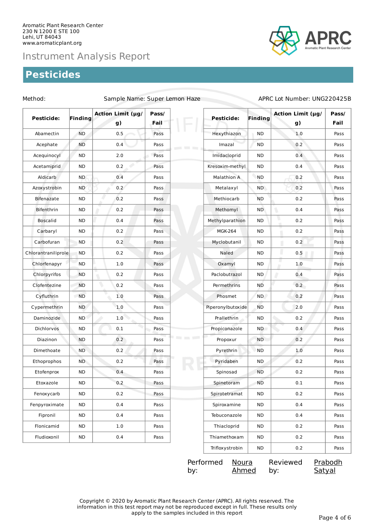## **Pesticides**



## Method: Sample Name: Super Lemon Haze APRC Lot Number: UNG220425B

| Pesticide:          | Finding   | Action Limit (µg/<br>g) | Pass/<br>Fail | Pesticide:                         | <b>Finding</b> | Action Limit (µg/<br>g) | Pass/<br>Fail |
|---------------------|-----------|-------------------------|---------------|------------------------------------|----------------|-------------------------|---------------|
| Abamectin           | <b>ND</b> | 0.5                     | Pass          | Hexythiazon                        | ND.            | 1.0                     | Pass          |
| Acephate            | <b>ND</b> | 0.4                     | Pass          | Imazal<br>the contract of the con- | ND.            | 0.2                     | Pass          |
| Acequinocyl         | <b>ND</b> | 2.0                     | Pass          | Imidacloprid                       | <b>ND</b>      | 0.4                     | Pass          |
| Acetamiprid         | <b>ND</b> | 0.2                     | Pass          | Kresoxim-methyl                    | ND             | 0.4                     | Pass          |
| Aldicarb            | <b>ND</b> | 0.4                     | Pass          | Malathion A                        | <b>ND</b>      | 0.2                     | Pass          |
| Azoxystrobin        | ND.       | 0.2                     | Pass          | Metalaxyl                          | ND.            | 0.2                     | Pass          |
| <b>Bifenazate</b>   | <b>ND</b> | 0.2                     | Pass          | Methiocarb                         | <b>ND</b>      | 0.2                     | Pass          |
| Bifenthrin          | <b>ND</b> | 0.2                     | Pass          | Methomyl                           | ND.            | ۱<br>0.4                | Pass          |
| <b>Boscalid</b>     | <b>ND</b> | 0.4                     | Pass          | Methylparathion                    | <b>ND</b>      | ۷<br>0.2                | Pass          |
| Carbaryl            | <b>ND</b> | 0.2                     | Pass          | <b>MGK-264</b>                     | ND.            | 0.2                     | Pass          |
| Carbofuran          | <b>ND</b> | 0.2                     | Pass          | Myclobutanil                       | <b>ND</b>      | 0.2                     | Pass          |
| Chlorantraniliprole | <b>ND</b> | 0.2                     | Pass          | Naled                              | ND.            | 0.5                     | Pass          |
| Chlorfenapyr        | <b>ND</b> | 1.0                     | Pass          | Oxamyl                             | ND             | ٠<br>1.0                | Pass          |
| Chlorpyrifos        | <b>ND</b> | 0.2                     | Pass          | Paclobutrazol                      | <b>ND</b>      | Π<br>0.4                | Pass          |
| Clofentezine        | <b>ND</b> | 0.2                     | Pass          | Permethrins                        | ND             | 0.2                     | Pass          |
| Cyfluthrin          | <b>ND</b> | 1.0                     | Pass          | Phosmet                            | ND.            | 0.2                     | Pass          |
| Cypermethrin        | <b>ND</b> | 1.0                     | Pass          | Piperonylbutoxide                  | <b>ND</b>      | 2.0                     | Pass          |
| Daminozide          | <b>ND</b> | 1.0                     | Pass          | Prallethrin                        | ND.            | 0.2                     | Pass          |
| Dichlorvos          | <b>ND</b> | $0.1\,$                 | Pass          | Propiconazole                      | ND.            | 0.4                     | Pass          |
| Diazinon            | <b>ND</b> | 0.2                     | Pass          | Propoxur                           | ND.            | 0.2                     | Pass          |
| Dimethoate          | <b>ND</b> | 0.2                     | Pass          | Pyrethrin                          | <b>ND</b>      | 1.0                     | Pass          |
| Ethoprophos         | ND.       | 0.2                     | Pass          | Pyridaben                          | ND.            | 0.2                     | Pass          |
| Etofenprox          | <b>ND</b> | 0.4                     | Pass          | Spinosad                           | ND             | 0.2                     | Pass          |
| Etoxazole           | <b>ND</b> | 0.2                     | Pass          | Spinetoram                         | <b>ND</b>      | $0.1\,$                 | Pass          |
| Fenoxycarb          | <b>ND</b> | $0.2\,$                 | Pass          | Spirotetramat                      | <b>ND</b>      | 0.2                     | Pass          |
| Fenpyroximate       | <b>ND</b> | 0.4                     | Pass          | Spiroxamine                        | ND.            | 0.4                     | Pass          |
| Fipronil            | <b>ND</b> | 0.4                     | Pass          | Tebuconazole                       | <b>ND</b>      | 0.4                     | Pass          |
| Flonicamid          | <b>ND</b> | $1.0\,$                 | Pass          | Thiacloprid                        | ND             | 0.2                     | Pass          |
| Fludioxonil         | <b>ND</b> | 0.4                     | Pass          | Thiamethoxam                       | ND             | 0.2                     | Pass          |
|                     |           |                         |               | Trifloxystrobin                    | ND             | 0.2                     | Pass          |

| Performed | Noura | Reviewed |
|-----------|-------|----------|
| by:       | Ahmed | by:      |

**Prabodh Satyal** 

Copyright © 2020 by Aromatic Plant Research Center (APRC). All rights reserved. The information in this test report may not be reproduced except in full. These results only apply to the samples included in this report Page 4 of 6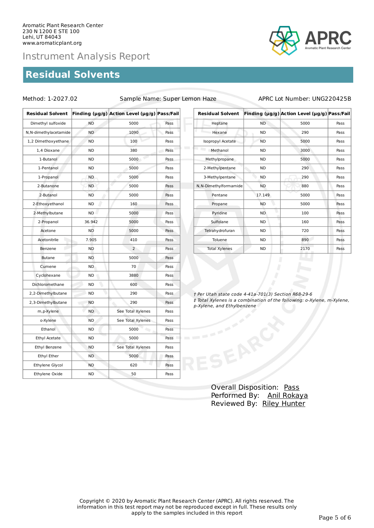## **Residual Solvents**

Method: 1-2027.02 Sample Name: Super Lemon Haze APRC Lot Number: UNG220425B

| <b>Residual Solvent</b> |           | Finding (µg/g) Action Level (µg/g) Pass/Fail |      |  |
|-------------------------|-----------|----------------------------------------------|------|--|
| Dimethyl sulfoxide      | <b>ND</b> | 5000                                         | Pass |  |
| N, N-dimethylacetamide  | <b>ND</b> | 1090                                         | Pass |  |
| 1,2 Dimethoxyethane     | <b>ND</b> | 100                                          | Pass |  |
| 1,4 Dioxane             | <b>ND</b> | 380                                          | Pass |  |
| 1-Butanol               | <b>ND</b> | 5000                                         | Pass |  |
| 1-Pentanol              | <b>ND</b> | 5000                                         | Pass |  |
| 1-Propanol              | <b>ND</b> | 5000                                         | Pass |  |
| 2-Butanone              | <b>ND</b> | 5000                                         | Pass |  |
| 2-Butanol               | <b>ND</b> | 5000                                         | Pass |  |
| 2-Ethoxyethanol         | <b>ND</b> | 160                                          | Pass |  |
| 2-Methylbutane          | <b>ND</b> | 5000                                         | Pass |  |
| 2-Propanol              | 36.942    | 5000                                         | Pass |  |
| Acetone                 | <b>ND</b> | 5000                                         | Pass |  |
| Acetonitrile            | 7.905     | 410                                          | Pass |  |
| Benzene                 | <b>ND</b> | $\overline{2}$                               |      |  |
| <b>Butane</b>           | <b>ND</b> | 5000                                         | Pass |  |
| Cumene                  | ND        | 70                                           | Pass |  |
| Cyclohexane             | ND        | 3880                                         |      |  |
| Dichloromethane         | <b>ND</b> | 600                                          | Pass |  |
| 2,2-Dimethylbutane      | <b>ND</b> | 290                                          | Pass |  |
| 2,3-Dimethylbutane      | <b>ND</b> | 290                                          | Pass |  |
| m, p-Xylene             | <b>ND</b> | See Total Xylenes                            | Pass |  |
| o-Xylene                | ND        | See Total Xylenes                            | Pass |  |
| Ethanol                 | <b>ND</b> | 5000                                         | Pass |  |
| Ethyl Acetate           | <b>ND</b> | 5000                                         |      |  |
| Ethyl Benzene           | ND        | See Total Xylenes                            | Pass |  |
| Ethyl Ether             | ND        | 5000                                         | Pass |  |
| Ethylene Glycol         | <b>ND</b> | u<br>620                                     | Pass |  |
| Ethylene Oxide          | <b>ND</b> | 50                                           | Pass |  |

| <b>Residual Solvent</b> |           | Finding (µg/g) Action Level (µg/g) Pass/Fail |      |
|-------------------------|-----------|----------------------------------------------|------|
| Heptane                 | <b>ND</b> | 5000                                         | Pass |
| Hexane                  | ND.       | 290                                          | Pass |
| Isopropyl Acetate       | <b>ND</b> | 5000                                         | Pass |
| Methanol                | ND.       | 3000                                         | Pass |
| Methylpropane           | <b>ND</b> | 5000                                         | Pass |
| 2-Methylpentane         | <b>ND</b> | 290                                          | Pass |
| 3-Methylpentane         | <b>ND</b> | 290                                          | Pass |
| N, N-Dimethylformamide  | <b>ND</b> | 880                                          | Pass |
| Pentane                 | 17.149    | 5000                                         | Pass |
| Propane                 | <b>ND</b> | 5000                                         | Pass |
| Pyridine                | <b>ND</b> | 100                                          | Pass |
| Sulfolane               | <b>ND</b> | 160                                          | Pass |
| Tetrahydrofuran         | ND.       | 720                                          | Pass |
| Toluene                 | <b>ND</b> | 890                                          | Pass |
| <b>Total Xylenes</b>    | <b>ND</b> | 2170                                         | Pass |

† Per Utah state code 4-41a-701(3) Section R68-29-6 ‡ Total Xylenes is a combination of the following: o-Xylene, m-Xylene, p-Xylene, and Ethylbenzene

> Overall Disposition: Pass Performed By: Anil Rokaya Reviewed By: Riley Hunter